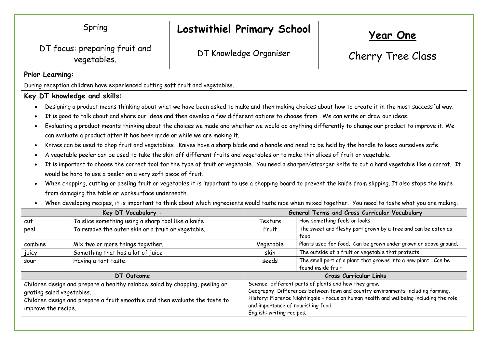| Spring                                                                                                                                                                                                                                                                                                                                                                                                                                                                                                                                                                                                                                                                                                                                                                                                                                                                                                                                                                                                                                                                                                                                                                                                                                                                                                  |                                                    | Lostwithiel Primary School |                                                                                                                                                                                                                                                                                                       |                    | <u> Year One</u>                                                |  |
|---------------------------------------------------------------------------------------------------------------------------------------------------------------------------------------------------------------------------------------------------------------------------------------------------------------------------------------------------------------------------------------------------------------------------------------------------------------------------------------------------------------------------------------------------------------------------------------------------------------------------------------------------------------------------------------------------------------------------------------------------------------------------------------------------------------------------------------------------------------------------------------------------------------------------------------------------------------------------------------------------------------------------------------------------------------------------------------------------------------------------------------------------------------------------------------------------------------------------------------------------------------------------------------------------------|----------------------------------------------------|----------------------------|-------------------------------------------------------------------------------------------------------------------------------------------------------------------------------------------------------------------------------------------------------------------------------------------------------|--------------------|-----------------------------------------------------------------|--|
| DT focus: preparing fruit and<br>vegetables.                                                                                                                                                                                                                                                                                                                                                                                                                                                                                                                                                                                                                                                                                                                                                                                                                                                                                                                                                                                                                                                                                                                                                                                                                                                            |                                                    |                            | DT Knowledge Organiser                                                                                                                                                                                                                                                                                |                    | Cherry Tree Class                                               |  |
| Prior Learning:                                                                                                                                                                                                                                                                                                                                                                                                                                                                                                                                                                                                                                                                                                                                                                                                                                                                                                                                                                                                                                                                                                                                                                                                                                                                                         |                                                    |                            |                                                                                                                                                                                                                                                                                                       |                    |                                                                 |  |
| During reception children have experienced cutting soft fruit and vegetables.                                                                                                                                                                                                                                                                                                                                                                                                                                                                                                                                                                                                                                                                                                                                                                                                                                                                                                                                                                                                                                                                                                                                                                                                                           |                                                    |                            |                                                                                                                                                                                                                                                                                                       |                    |                                                                 |  |
|                                                                                                                                                                                                                                                                                                                                                                                                                                                                                                                                                                                                                                                                                                                                                                                                                                                                                                                                                                                                                                                                                                                                                                                                                                                                                                         | Key DT knowledge and skills:                       |                            |                                                                                                                                                                                                                                                                                                       |                    |                                                                 |  |
| It is good to talk about and share our ideas and then develop a few different options to choose from. We can write or draw our ideas.<br>Evaluating a product meants thinking about the choices we made and whether we would do anything differently to change our product to improve it. We<br>can evaluate a product after it has been made or while we are making it.<br>Knives can be used to chop fruit and vegetables. Knives have a sharp blade and a handle and need to be held by the handle to keep ourselves safe.<br>$\bullet$<br>A vegetable peeler can be used to take the skin off different fruits and vegetables or to make thin slices of fruit or vegetable.<br>It is important to choose the correct tool for the type of fruit or vegetable. You need a sharper/stronger knife to cut a hard vegetable like a carrot. It<br>would be hard to use a peeler on a very soft piece of fruit.<br>When chopping, cutting or peeling fruit or vegetables it is important to use a chopping board to prevent the knife from slipping. It also stops the knife<br>$\bullet$<br>from damaging the table or worksurface underneath.<br>When developing recipes, it is important to think about which ingredients would taste nice when mixed together. You need to taste what you are making. |                                                    |                            |                                                                                                                                                                                                                                                                                                       |                    |                                                                 |  |
| Key DT Vocabulary -                                                                                                                                                                                                                                                                                                                                                                                                                                                                                                                                                                                                                                                                                                                                                                                                                                                                                                                                                                                                                                                                                                                                                                                                                                                                                     |                                                    |                            | General Terms and Cross Curricular Vocabulary                                                                                                                                                                                                                                                         |                    |                                                                 |  |
| cut                                                                                                                                                                                                                                                                                                                                                                                                                                                                                                                                                                                                                                                                                                                                                                                                                                                                                                                                                                                                                                                                                                                                                                                                                                                                                                     | To slice something using a sharp tool like a knife |                            | Texture                                                                                                                                                                                                                                                                                               |                    | How something feels or looks                                    |  |
| peel                                                                                                                                                                                                                                                                                                                                                                                                                                                                                                                                                                                                                                                                                                                                                                                                                                                                                                                                                                                                                                                                                                                                                                                                                                                                                                    | To remove the outer skin or a fruit or vegetable.  |                            | Fruit                                                                                                                                                                                                                                                                                                 | food.              | The sweet and fleshy part grown by a tree and can be eaten as   |  |
| combine                                                                                                                                                                                                                                                                                                                                                                                                                                                                                                                                                                                                                                                                                                                                                                                                                                                                                                                                                                                                                                                                                                                                                                                                                                                                                                 | Mix two or more things together.                   |                            | Vegetable                                                                                                                                                                                                                                                                                             |                    | Plants used for food. Can be grown under grown or above ground. |  |
| juicy                                                                                                                                                                                                                                                                                                                                                                                                                                                                                                                                                                                                                                                                                                                                                                                                                                                                                                                                                                                                                                                                                                                                                                                                                                                                                                   | Something that has a lot of juice                  |                            | skin                                                                                                                                                                                                                                                                                                  |                    | The outside of a fruit or vegetable that protects               |  |
| sour                                                                                                                                                                                                                                                                                                                                                                                                                                                                                                                                                                                                                                                                                                                                                                                                                                                                                                                                                                                                                                                                                                                                                                                                                                                                                                    | Having a tart taste.                               |                            | seeds                                                                                                                                                                                                                                                                                                 | found inside fruit | The small part of a plant that growns into a new plant, Can be  |  |
| DT Outcome                                                                                                                                                                                                                                                                                                                                                                                                                                                                                                                                                                                                                                                                                                                                                                                                                                                                                                                                                                                                                                                                                                                                                                                                                                                                                              |                                                    |                            | Cross Curricular Links                                                                                                                                                                                                                                                                                |                    |                                                                 |  |
| Children design and prepare a healthy rainbow salad by chopping, peeling or<br>grating salad vegetables.<br>Children design and prepare a fruit smoothie and then evaluate the taste to<br>improve the recipe.                                                                                                                                                                                                                                                                                                                                                                                                                                                                                                                                                                                                                                                                                                                                                                                                                                                                                                                                                                                                                                                                                          |                                                    |                            | Science: different parts of plants and how they grow.<br>Geography: Differences between town and country environments including farming.<br>History: Florence Nightingale - focus on human health and wellbeing including the role<br>and importance of nourishing food.<br>English: writing recipes. |                    |                                                                 |  |